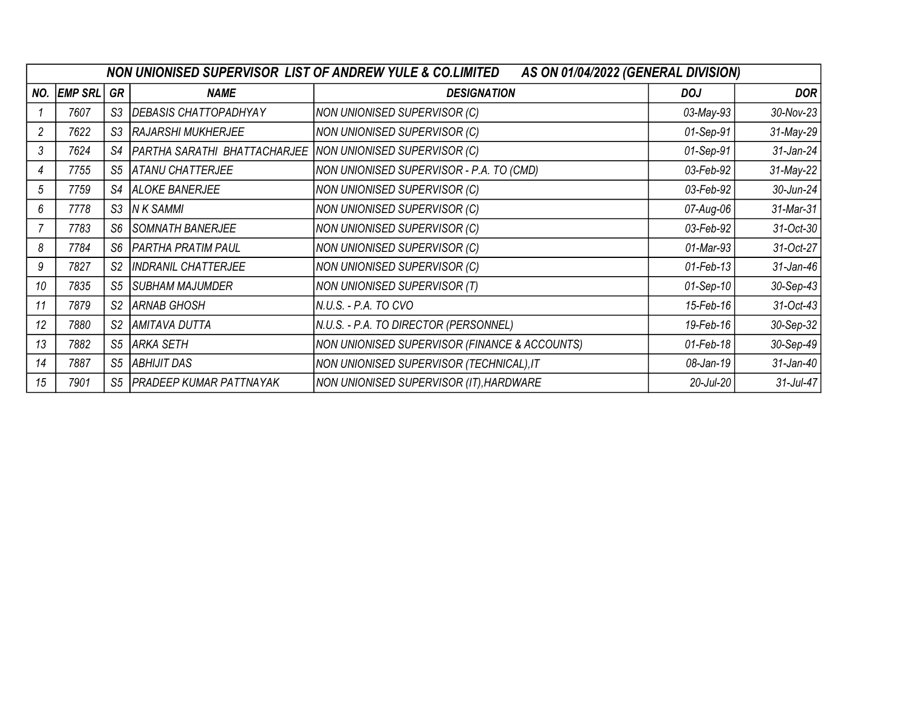| NON UNIONISED SUPERVISOR LIST OF ANDREW YULE & CO.LIMITED<br>AS ON 01/04/2022 (GENERAL DIVISION) |                |                |                                |                                               |             |              |  |
|--------------------------------------------------------------------------------------------------|----------------|----------------|--------------------------------|-----------------------------------------------|-------------|--------------|--|
| NO.                                                                                              | <b>EMP SRL</b> | GR             | <b>NAME</b>                    | <b>DESIGNATION</b>                            | <b>DOJ</b>  | <b>DOR</b>   |  |
|                                                                                                  | 7607           | S <sub>3</sub> | DEBASIS CHATTOPADHYAY          | <b>NON UNIONISED SUPERVISOR (C)</b>           | 03-May-93   | 30-Nov-23    |  |
| $\overline{2}$                                                                                   | 7622           | S <sub>3</sub> | <b>RAJARSHI MUKHERJEE</b>      | NON UNIONISED SUPERVISOR (C)                  | 01-Sep-91   | 31-May-29    |  |
| 3                                                                                                | 7624           | S4             | PARTHA SARATHI BHATTACHARJEE   | NON UNIONISED SUPERVISOR (C)                  | 01-Sep-91   | 31-Jan-24    |  |
| 4                                                                                                | 7755           | S <sub>5</sub> | <b>ATANU CHATTERJEE</b>        | NON UNIONISED SUPERVISOR - P.A. TO (CMD)      | 03-Feb-92   | 31-May-22    |  |
| 5                                                                                                | 7759           | S4             | <b>ALOKE BANERJEE</b>          | NON UNIONISED SUPERVISOR (C)                  | 03-Feb-92   | 30-Jun-24    |  |
| 6                                                                                                | 7778           | S <sub>3</sub> | <b>IN K SAMMI</b>              | NON UNIONISED SUPERVISOR (C)                  | 07-Aug-06   | 31-Mar-31    |  |
|                                                                                                  | 7783           | S <sub>6</sub> | <b>SOMNATH BANERJEE</b>        | NON UNIONISED SUPERVISOR (C)                  | 03-Feb-92   | 31-Oct-30    |  |
| 8                                                                                                | 7784           | S <sub>6</sub> | <b>PARTHA PRATIM PAUL</b>      | NON UNIONISED SUPERVISOR (C)                  | 01-Mar-93   | 31-Oct-27    |  |
| 9                                                                                                | 7827           | S <sub>2</sub> | <b>INDRANIL CHATTERJEE</b>     | NON UNIONISED SUPERVISOR (C)                  | 01-Feb-13   | 31-Jan-46    |  |
| 10                                                                                               | 7835           | S <sub>5</sub> | <b>SUBHAM MAJUMDER</b>         | NON UNIONISED SUPERVISOR (T)                  | $01-Sep-10$ | 30-Sep-43    |  |
| 11                                                                                               | 7879           | S <sub>2</sub> | <b>ARNAB GHOSH</b>             | N.U.S. - P.A. TO CVO                          | 15-Feb-16   | 31-Oct-43    |  |
| 12                                                                                               | 7880           | S <sub>2</sub> | <b>AMITAVA DUTTA</b>           | N.U.S. - P.A. TO DIRECTOR (PERSONNEL)         | 19-Feb-16   | 30-Sep-32    |  |
| 13                                                                                               | 7882           | S <sub>5</sub> | <b>ARKA SETH</b>               | NON UNIONISED SUPERVISOR (FINANCE & ACCOUNTS) | 01-Feb-18   | 30-Sep-49    |  |
| 14                                                                                               | 7887           | S <sub>5</sub> | <b>ABHIJIT DAS</b>             | NON UNIONISED SUPERVISOR (TECHNICAL), IT      | 08-Jan-19   | 31-Jan-40    |  |
| 15                                                                                               | 7901           | S <sub>5</sub> | <b>PRADEEP KUMAR PATTNAYAK</b> | NON UNIONISED SUPERVISOR (IT), HARDWARE       | 20-Jul-20   | $31$ -Jul-47 |  |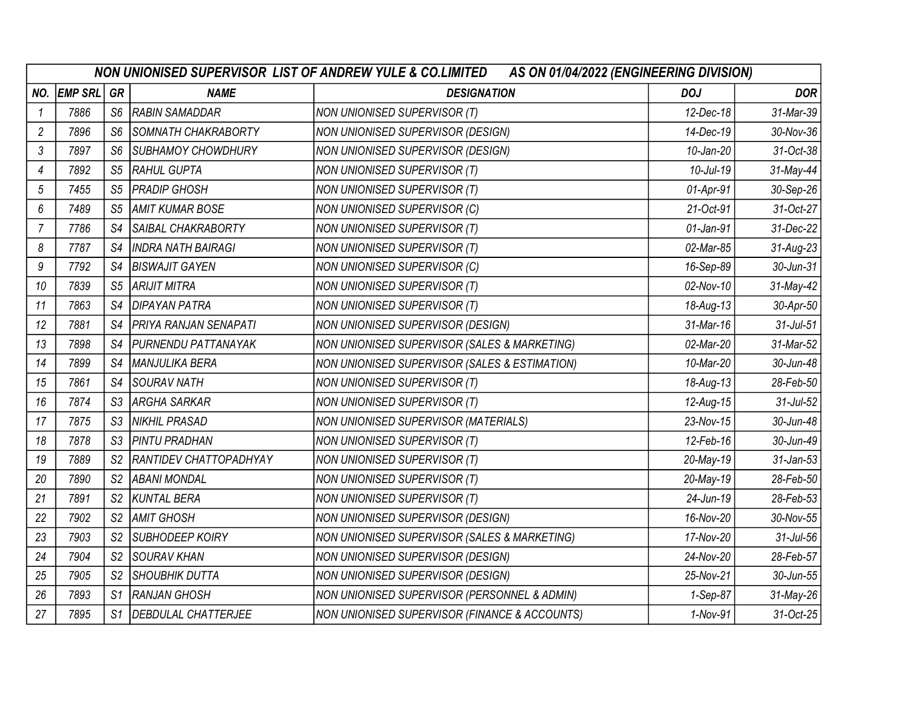|                | NON UNIONISED SUPERVISOR LIST OF ANDREW YULE & CO.LIMITED<br>AS ON 01/04/2022 (ENGINEERING DIVISION) |                |                               |                                               |                 |                 |  |  |
|----------------|------------------------------------------------------------------------------------------------------|----------------|-------------------------------|-----------------------------------------------|-----------------|-----------------|--|--|
| NO.            | <b>EMP SRL</b>                                                                                       | GR             | <b>NAME</b>                   | <b>DESIGNATION</b>                            | <b>DOJ</b>      | <b>DOR</b>      |  |  |
| -1             | 7886                                                                                                 | S <sub>6</sub> | <b>RABIN SAMADDAR</b>         | NON UNIONISED SUPERVISOR (T)                  | 12-Dec-18       | 31-Mar-39       |  |  |
| $\overline{c}$ | 7896                                                                                                 | S <sub>6</sub> | SOMNATH CHAKRABORTY           | NON UNIONISED SUPERVISOR (DESIGN)             | 14-Dec-19       | 30-Nov-36       |  |  |
| 3              | 7897                                                                                                 | S <sub>6</sub> | SUBHAMOY CHOWDHURY            | NON UNIONISED SUPERVISOR (DESIGN)             | $10$ -Jan- $20$ | 31-Oct-38       |  |  |
| 4              | 7892                                                                                                 | S <sub>5</sub> | RAHUL GUPTA                   | NON UNIONISED SUPERVISOR (T)                  | $10$ -Jul-19    | 31-May-44       |  |  |
| 5              | 7455                                                                                                 | S <sub>5</sub> | <b>PRADIP GHOSH</b>           | NON UNIONISED SUPERVISOR (T)                  | 01-Apr-91       | 30-Sep-26       |  |  |
| 6              | 7489                                                                                                 | S <sub>5</sub> | <b>AMIT KUMAR BOSE</b>        | NON UNIONISED SUPERVISOR (C)                  | 21-Oct-91       | 31-Oct-27       |  |  |
| $\overline{7}$ | 7786                                                                                                 | S4             | SAIBAL CHAKRABORTY            | NON UNIONISED SUPERVISOR (T)                  | 01-Jan-91       | 31-Dec-22       |  |  |
| 8              | 7787                                                                                                 | S4             | <b>INDRA NATH BAIRAGI</b>     | NON UNIONISED SUPERVISOR (T)                  | 02-Mar-85       | 31-Aug-23       |  |  |
| 9              | 7792                                                                                                 | S4             | <b>BISWAJIT GAYEN</b>         | NON UNIONISED SUPERVISOR (C)                  | 16-Sep-89       | 30-Jun-31       |  |  |
| 10             | 7839                                                                                                 | S <sub>5</sub> | <b>ARIJIT MITRA</b>           | NON UNIONISED SUPERVISOR (T)                  | 02-Nov-10       | 31-May-42       |  |  |
| 11             | 7863                                                                                                 | S4             | DIPAYAN PATRA                 | NON UNIONISED SUPERVISOR (T)                  | 18-Aug-13       | 30-Apr-50       |  |  |
| 12             | 7881                                                                                                 | S4             | <b>PRIYA RANJAN SENAPATI</b>  | NON UNIONISED SUPERVISOR (DESIGN)             | 31-Mar-16       | $31$ -Jul- $51$ |  |  |
| 13             | 7898                                                                                                 | S4             | <b>PURNENDU PATTANAYAK</b>    | NON UNIONISED SUPERVISOR (SALES & MARKETING)  | 02-Mar-20       | 31-Mar-52       |  |  |
| 14             | 7899                                                                                                 | S4             | MANJULIKA BERA                | NON UNIONISED SUPERVISOR (SALES & ESTIMATION) | 10-Mar-20       | 30-Jun-48       |  |  |
| 15             | 7861                                                                                                 | S4             | <b>SOURAV NATH</b>            | NON UNIONISED SUPERVISOR (T)                  | 18-Aug-13       | 28-Feb-50       |  |  |
| 16             | 7874                                                                                                 | S3             | <b>ARGHA SARKAR</b>           | NON UNIONISED SUPERVISOR (T)                  | 12-Aug-15       | $31$ -Jul- $52$ |  |  |
| 17             | 7875                                                                                                 | S3             | NIKHIL PRASAD                 | NON UNIONISED SUPERVISOR (MATERIALS)          | 23-Nov-15       | 30-Jun-48       |  |  |
| 18             | 7878                                                                                                 | S3             | PINTU PRADHAN                 | NON UNIONISED SUPERVISOR (T)                  | 12-Feb-16       | 30-Jun-49       |  |  |
| 19             | 7889                                                                                                 | S <sub>2</sub> | <b>RANTIDEV CHATTOPADHYAY</b> | NON UNIONISED SUPERVISOR (T)                  | 20-May-19       | 31-Jan-53       |  |  |
| 20             | 7890                                                                                                 | S <sub>2</sub> | <b>ABANI MONDAL</b>           | NON UNIONISED SUPERVISOR (T)                  | 20-May-19       | 28-Feb-50       |  |  |
| 21             | 7891                                                                                                 | S <sub>2</sub> | <b>KUNTAL BERA</b>            | NON UNIONISED SUPERVISOR (T)                  | 24-Jun-19       | 28-Feb-53       |  |  |
| 22             | 7902                                                                                                 | S <sub>2</sub> | <b>AMIT GHOSH</b>             | NON UNIONISED SUPERVISOR (DESIGN)             | 16-Nov-20       | 30-Nov-55       |  |  |
| 23             | 7903                                                                                                 | S <sub>2</sub> | SUBHODEEP KOIRY               | NON UNIONISED SUPERVISOR (SALES & MARKETING)  | 17-Nov-20       | $31$ -Jul- $56$ |  |  |
| 24             | 7904                                                                                                 | S <sub>2</sub> | <b>SOURAV KHAN</b>            | NON UNIONISED SUPERVISOR (DESIGN)             | 24-Nov-20       | 28-Feb-57       |  |  |
| 25             | 7905                                                                                                 | S <sub>2</sub> | <b>SHOUBHIK DUTTA</b>         | NON UNIONISED SUPERVISOR (DESIGN)             | 25-Nov-21       | 30-Jun-55       |  |  |
| 26             | 7893                                                                                                 | S <sub>1</sub> | <b>RANJAN GHOSH</b>           | NON UNIONISED SUPERVISOR (PERSONNEL & ADMIN)  | 1-Sep-87        | 31-May-26       |  |  |
| 27             | 7895                                                                                                 | S <sub>1</sub> | DEBDULAL CHATTERJEE           | NON UNIONISED SUPERVISOR (FINANCE & ACCOUNTS) | 1-Nov-91        | 31-Oct-25       |  |  |